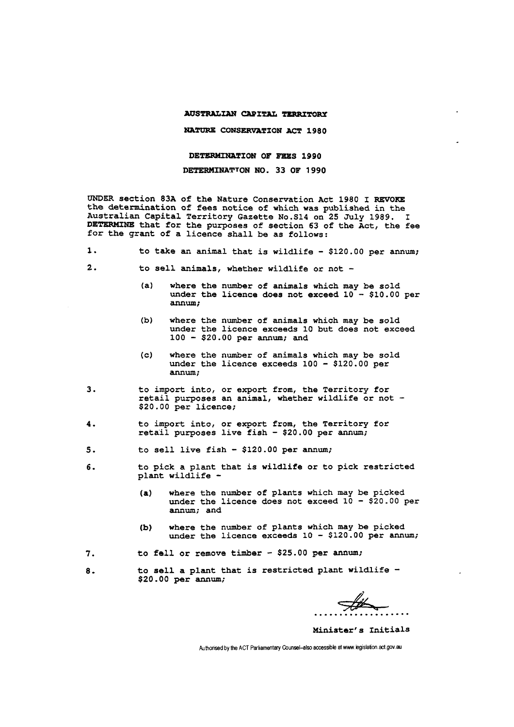## **AUSTRALIAN CAPITAL TERRITORY**

**NATURE CONSERVATION ACT 1980** 

**DETERMINATION OF FEES 1990** 

DETERMINATION **NO.** 33 OF 1990

UNDER section 83A of the Nature Conservation Act 1980 I REVOKE the determination of fees notice of which was published in the Australian Capital Territory Gazette No.S14 on 25 July 1989. I **DETERMINE** that for the purposes of section 63 of the Act, the fee for the grant of a licence shall be as follows:

| . |  |  |  |  |  |  | to take an animal that is wildlife $-$ \$120.00 per annum; |  |  |  |  |  |
|---|--|--|--|--|--|--|------------------------------------------------------------|--|--|--|--|--|
|---|--|--|--|--|--|--|------------------------------------------------------------|--|--|--|--|--|

- 2. to sell animals, whether wildlife or not
	- (a) where the number of animals which may be sold under the licence does not exceed  $10 - $10.00$  per annum;
	- (b) where the number of animals which may be sold under the licence exceeds 10 but does not exceed 100 - \$20.00 per annum; and
	- (c) where the number of animals which may be sold under the licence exceeds 100 - \$120.00 per annum;
- 3. to import into, or export from, the Territory for retail purposes an animal, whether wildlife or not -\$20.00 per licence;
- 4. to import into, or export from, the Territory for retail purposes live fish - \$20.00 per annum;
- 5. to sell live fish \$120.00 per annum;
- 6. to pick a plant that is wildlife or to pick restricted plant wildlife -
	- (a) where the number of plants which may be picked under the licence does not exceed  $10 - $20.00$  per annum; and
	- (b) where the number of plants which may be picked under the licence exceeds 10 - \$120.00 per annum;
- 7. to fell or remove timber \$25.00 per annum;
- 8. to sell a plant that is restricted plant wildlife -\$20.00 per annum;

Minister's Initials

Authorised by the ACT Parliamentary Counsel-also accessible at www.legislation.act.gov.au